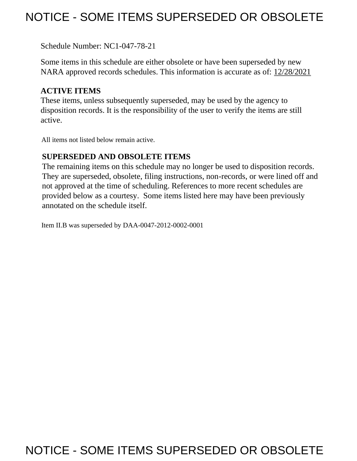# NOTICE - SOME ITEMS SUPERSEDED OR OBSOLETE

Schedule Number: NC1-047-78-21

 Some items in this schedule are either obsolete or have been superseded by new NARA approved records schedules. This information is accurate as of: 12/28/2021

## **ACTIVE ITEMS**

 These items, unless subsequently superseded, may be used by the agency to disposition records. It is the responsibility of the user to verify the items are still active.

All items not listed below remain active.

### **SUPERSEDED AND OBSOLETE ITEMS**

 The remaining items on this schedule may no longer be used to disposition records. not approved at the time of scheduling. References to more recent schedules are provided below as a courtesy. Some items listed here may have been previously They are superseded, obsolete, filing instructions, non-records, or were lined off and annotated on the schedule itself.

Item II.B was superseded by DAA-0047-2012-0002-0001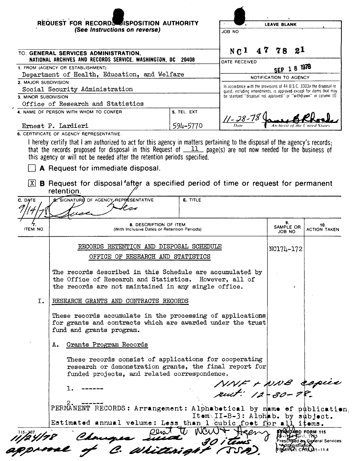|                      | REQUEST FOR RECORDS SISPOSITION AUTHORITY                                                                                                                                                                                                                                                                                                      |                 |                                                                       | <b>LEAVE BLANK</b>         |                            |  |  |
|----------------------|------------------------------------------------------------------------------------------------------------------------------------------------------------------------------------------------------------------------------------------------------------------------------------------------------------------------------------------------|-----------------|-----------------------------------------------------------------------|----------------------------|----------------------------|--|--|
|                      | (See Instructions on reverse)                                                                                                                                                                                                                                                                                                                  |                 | JOB NO                                                                |                            |                            |  |  |
|                      |                                                                                                                                                                                                                                                                                                                                                |                 |                                                                       |                            |                            |  |  |
|                      | TO: GENERAL SERVICES ADMINISTRATION,<br>NATIONAL ARCHIVES AND RECORDS SERVICE, WASHINGTON, DC                                                                                                                                                                                                                                                  | 20408           | N <sub>C</sub> 1                                                      | 21<br>78                   |                            |  |  |
|                      | 1. FROM (AGENCY OR ESTABLISHMENT)                                                                                                                                                                                                                                                                                                              |                 | DATE RECEIVED                                                         | SEP 1 8 1978               |                            |  |  |
|                      | Department of Health, Education, and Welfare                                                                                                                                                                                                                                                                                                   |                 |                                                                       | NOTIFICATION TO AGENCY     |                            |  |  |
| 2. MAJOR SUBDIVISION |                                                                                                                                                                                                                                                                                                                                                |                 | In accordance with the provisions of 44 U.S.C. 3303a the disposal re- |                            |                            |  |  |
|                      | Social Security Administration                                                                                                                                                                                                                                                                                                                 |                 | quest, including amendments, is approved except for items that may    |                            |                            |  |  |
| 3. MINOR SUBDIVISION |                                                                                                                                                                                                                                                                                                                                                |                 | be stamped "disposal not approved" or "withdrawn" in column 10.       |                            |                            |  |  |
|                      | Office of Research and Statistics                                                                                                                                                                                                                                                                                                              |                 |                                                                       |                            |                            |  |  |
|                      | 4. NAME OF PERSON WITH WHOM TO CONFER                                                                                                                                                                                                                                                                                                          | 5. TEL. EXT.    | <u>  - 28-7</u> 8                                                     |                            |                            |  |  |
|                      | Ernest P. Lardieri                                                                                                                                                                                                                                                                                                                             | 594-5770        |                                                                       | Archivist of the           |                            |  |  |
|                      | 6. CERTIFICATE OF AGENCY REPRESENTATIVE:                                                                                                                                                                                                                                                                                                       |                 |                                                                       |                            |                            |  |  |
| X                    | that the records proposed for disposal in this Request of $11$ page(s) are not now needed for the business of<br>this agency or will not be needed after the retention periods specified.<br><b>A</b> Request for immediate disposal.<br><b>B</b> Request for disposal after a specified period of time or request for permanent<br>retention. |                 |                                                                       |                            |                            |  |  |
| C. DATE              | <b>D.</b> SIGNATURE OF AGENCY REPPESENTATIVE                                                                                                                                                                                                                                                                                                   | <b>E.</b> TITLE |                                                                       |                            |                            |  |  |
| ITEM NO.             | 8. DESCRIPTION OF ITEM<br>(With Inclusive Dates or Retention Periods)                                                                                                                                                                                                                                                                          |                 |                                                                       | 9.<br>SAMPLE OR<br>JOB NO. | 10.<br><b>ACTION TAKEN</b> |  |  |
|                      | RECORDS RETENTION AND DISPOSAL SCHEDULE<br>OFFICE OF RESEARCH AND STATISTICS                                                                                                                                                                                                                                                                   |                 |                                                                       | NC174-172                  |                            |  |  |
|                      | The records described in this Schedule are accumulated by<br>the Office of Research and Statistics. However, all of<br>the records are not maintained in any single office.                                                                                                                                                                    |                 |                                                                       |                            |                            |  |  |
| I.                   | RESEARCH GRANTS AND CONTRACTS RECORDS                                                                                                                                                                                                                                                                                                          |                 |                                                                       |                            |                            |  |  |
|                      | These records accumulate in the processing of applications<br>for grants and contracts which are awarded under the trust<br>fund and grants program.                                                                                                                                                                                           |                 |                                                                       |                            |                            |  |  |
|                      | Grants Program Records<br>А.                                                                                                                                                                                                                                                                                                                   |                 |                                                                       |                            |                            |  |  |
|                      | These records consist of applications for cooperating<br>research or demonstration grants, the final report for<br>funded projects, and related correspondence.                                                                                                                                                                                |                 |                                                                       |                            |                            |  |  |
|                      |                                                                                                                                                                                                                                                                                                                                                |                 | NNF + NNB copie                                                       |                            |                            |  |  |
|                      | ı.                                                                                                                                                                                                                                                                                                                                             |                 |                                                                       |                            |                            |  |  |

2. ------ PERMANENT RECORDS: **Arrangement: Alphabetical** by Item<sub>\II-B-3: Aloh</sub> **Estimated annual volume: Less than 1 cubic foot** 

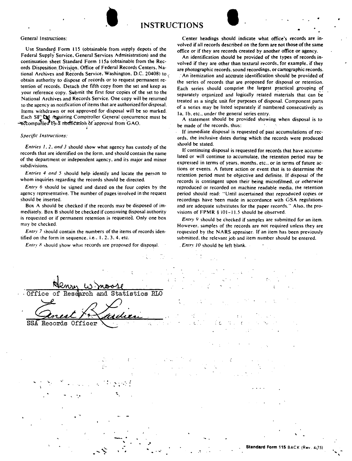

Use Standard Form 115 (obtainable-from supply depots of the Federal Supply Service. General Services Administration) and the continuation sheet Standard Form 115a (obtainable from the Records Disppsition. Division. Office of Federal Records Centers. National Archives and Records Service, Washington, D.C. 20408) to  $\epsilon$ obtain authority to dispose of records or to request permanent retention of records. Detach the fifth copy from the set and keep as your reference copy. Submit the first four copies of the set to the National Archives and Records Service. One copy will be returned to the agency as notification of items that are authorized for disposal. Items withdrawn or not approved for disposal will be so marked. Each SF'  $R_{\mathbb{D}}$  requiring Comptroller General concurrence must be  $\alpha$   $\alpha$   $\alpha$   $\beta$   $\beta$   $\beta$   $\alpha$   $\beta$   $\gamma$   $\beta$   $\alpha$   $\beta$   $\alpha$   $\beta$   $\alpha$   $\beta$   $\alpha$   $\beta$   $\alpha$   $\beta$   $\alpha$   $\beta$   $\gamma$   $\alpha$   $\beta$   $\alpha$   $\beta$   $\alpha$   $\beta$   $\alpha$   $\beta$   $\alpha$   $\beta$   $\alpha$   $\beta$   $\alpha$   $\beta$   $\alpha$   $\beta$   $\alpha$   $\beta$   $\alpha$   $\beta$   $\$ 

#### *Specific Instructions:*

*Entries I, 2. and 3* should show what agency has custody of the records that are identified on the form. and should contain the name of the department or independent agency. and its major and minor subdivisions.

*Entries 4 and 5* should help identify and locate the person to whom inquiries regarding the records should be directed.

*Entry 6* should be signed and dated on the four copies by the agency representative. The number of pages involved in the request should be inserted.

Box A should be checked if the records may be disposed of immediately. Box B should be checked if continuing disposal authority is requested or if permanent retention is requested. Only one box may be checked.

*Entry* 7 should contain the numbers of the items of records identified on the form in sequence. i.e., 1, 2, 3, 4, etc.

*Entry 8* should show what records are proposed for disposal.

Center headings should indicate what office's records arc involved if all records described on the form are not those of the same office or if they are records created by another office or agency.

An identification should be provided of the types of records involved if they are other than textural records, for example. if they are photographic records. sound recordings, or cartographic records.

An itemization and accurate identification should be provided of the series of records that are proposed for disposal or retention. Each series should comprise the largest practical grouping of separately organized and logically related materials that can be treated as a single. unit for purposes of disposal. Component parts of a series may be listed separately if numbered consecutively as 1a. 1b, etc., under the general series entry.

A statement should be provided showing when disposal is to be made of the records. thus:

If immediate disposal is requested of past accumulations of records. the inclusive dates during which the records were produced should be stated.

If continuing disposal is requested for records that have accumulated or will continue to accumulate. the retention period may be expressed in terms of years. months. etc.. or in terms of future actions or events. A future action or event that is to determine the retention period must be objective and definite. If disposal of the records is contingent upon their being microfilmed. or otherwise reproduced or recorded on machine readable media. the retention period should read: "Until ascertained that reproduced copies or recordings have been made in accordance with GSA regulations and are adequate substitutes for the paper records." Also, the provisions of  $FPMR \$  101-11.5 should be observed.

*Entry 9* should be checked if samples are submitted for an item. However. samples of the records are not required unless they are requested by the **NARS** appraiser. If an item has been previously submitted. the relevant job and item number should be entered.

. *Entry* JO should be left blank.

| where the contract of the state of the matrix of the state of the state of the state of the state of the state of the state of the state of the state of the state of the state of the state of the state of the state of the<br>moore en la de la de la de la de la de la de la de la de la de la de la de la de la de la de la de la de la de<br>Office of Research and Statistics RLO<br>大学的大学的 医血管下的 医中间的<br>Senest Andieu<br>a sa mga kalawang katalog ng kalawatan ng kalawang kalawang kalawang kalawang kalawang kalawang kalawang kalaw<br>Kalawang kalawang kalawang kalawang kalawang kalawang kalawang kalawang kalawang kalawang kalawang kalawang ka<br>(2) 中国 (1) 中国 (1) 中国 (1) 中国 (1) 中国 (1) 中国 (1) 中国 (1) 中国 (1) 中国 (1) 中国 |  |  |
|---------------------------------------------------------------------------------------------------------------------------------------------------------------------------------------------------------------------------------------------------------------------------------------------------------------------------------------------------------------------------------------------------------------------------------------------------------------------------------------------------------------------------------------------------------------------------------------------------------------------------------------------------------------------------------------------------------------------------------------------|--|--|
|                                                                                                                                                                                                                                                                                                                                                                                                                                                                                                                                                                                                                                                                                                                                             |  |  |
|                                                                                                                                                                                                                                                                                                                                                                                                                                                                                                                                                                                                                                                                                                                                             |  |  |
|                                                                                                                                                                                                                                                                                                                                                                                                                                                                                                                                                                                                                                                                                                                                             |  |  |
|                                                                                                                                                                                                                                                                                                                                                                                                                                                                                                                                                                                                                                                                                                                                             |  |  |
|                                                                                                                                                                                                                                                                                                                                                                                                                                                                                                                                                                                                                                                                                                                                             |  |  |
|                                                                                                                                                                                                                                                                                                                                                                                                                                                                                                                                                                                                                                                                                                                                             |  |  |
| e per l'annonce de spécial.<br>L'annonce de la companya<br>$\mathcal{L}^{\text{max}}_{\text{max}}$ , where $\mathcal{L}^{\text{max}}_{\text{max}}$                                                                                                                                                                                                                                                                                                                                                                                                                                                                                                                                                                                          |  |  |
| $\mathcal{O}(\mathcal{O}_\mathcal{O})$ . The set of the set of the set of the $\mathcal{O}(\mathcal{O}_\mathcal{O})$<br>$\mathcal{L}^{\mathcal{L}}(\mathcal{L}^{\mathcal{L}})$ . The contribution of the contribution of the contribution of the contribution of the contribution of the contribution of the contribution of the contribution of the contribution of the contr                                                                                                                                                                                                                                                                                                                                                              |  |  |

.,

 $\mathcal{L} \subset \mathcal{L}$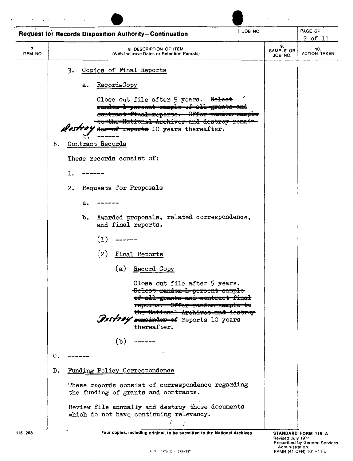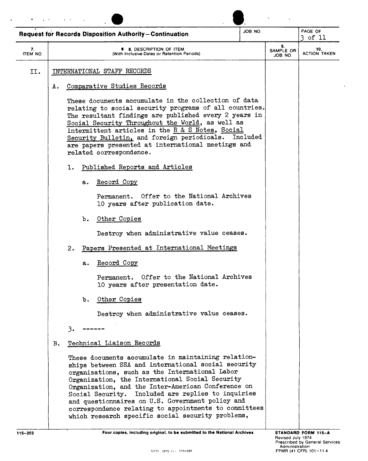|                |    |    |    | <b>Request for Records Disposition Authority-Continuation</b>                                                                                                                                                                                                                                                                                                                                                                                                                                 | JOB NO |                            | PAGE OF<br>3 of 11         |
|----------------|----|----|----|-----------------------------------------------------------------------------------------------------------------------------------------------------------------------------------------------------------------------------------------------------------------------------------------------------------------------------------------------------------------------------------------------------------------------------------------------------------------------------------------------|--------|----------------------------|----------------------------|
| 7.<br>ITEM NO. |    |    |    | <b>8. DESCRIPTION OF ITEM</b><br>(With Inclusive Dates or Retention Periods)                                                                                                                                                                                                                                                                                                                                                                                                                  |        | 9.<br>SAMPLE OR<br>JOB NO. | 10.<br><b>ACTION TAKEN</b> |
| II.            |    |    |    | INTERNATIONAL STAFF RECORDS                                                                                                                                                                                                                                                                                                                                                                                                                                                                   |        |                            |                            |
|                | А. |    |    | Comparative Studies Records                                                                                                                                                                                                                                                                                                                                                                                                                                                                   |        |                            |                            |
|                |    |    |    | These documents accumulate in the collection of data<br>relating to social security programs of all countries.<br>The resultant findings are published every 2 years in<br>Social Security Throughout the World, as well as<br>intermittent articles in the R & S Notes, Social<br>Security Bulletin, and foreign periodicals. Included<br>are papers presented at international meetings and<br>related correspondence.                                                                      |        |                            |                            |
|                |    | ı. |    | Published Reports and Articles                                                                                                                                                                                                                                                                                                                                                                                                                                                                |        |                            |                            |
|                |    |    | а. | Record Copy                                                                                                                                                                                                                                                                                                                                                                                                                                                                                   |        |                            |                            |
|                |    |    |    | Permanent. Offer to the National Archives<br>10 years after publication date.                                                                                                                                                                                                                                                                                                                                                                                                                 |        |                            |                            |
|                |    |    | b. | Other Copies                                                                                                                                                                                                                                                                                                                                                                                                                                                                                  |        |                            |                            |
|                |    |    |    | Destroy when administrative value ceases.                                                                                                                                                                                                                                                                                                                                                                                                                                                     |        |                            |                            |
|                |    | 2. |    | Papers Presented at International Meetings                                                                                                                                                                                                                                                                                                                                                                                                                                                    |        |                            |                            |
|                |    |    | a. | Record Copy                                                                                                                                                                                                                                                                                                                                                                                                                                                                                   |        |                            |                            |
|                |    |    |    | Permanent. Offer to the National Archives<br>10 years after presentation date.                                                                                                                                                                                                                                                                                                                                                                                                                |        |                            |                            |
|                |    |    | b. | Other Copies                                                                                                                                                                                                                                                                                                                                                                                                                                                                                  |        |                            |                            |
|                |    |    |    | Destroy when administrative value ceases.                                                                                                                                                                                                                                                                                                                                                                                                                                                     |        |                            |                            |
|                |    | 3. |    |                                                                                                                                                                                                                                                                                                                                                                                                                                                                                               |        |                            |                            |
|                | в. |    |    | Technical Liaison Records                                                                                                                                                                                                                                                                                                                                                                                                                                                                     |        |                            |                            |
|                |    |    |    | These documents accumulate in maintaining relation-<br>ships between SSA and international social security<br>organizations, such as the International Labor<br>Organization, the International Social Security<br>Organization, and the Inter-American Conference on<br>Social Security. Included are replies to inquiries<br>and questionnaires on U.S. Government policy and<br>correspondence relating to appointments to committees<br>which research specific social security problems, |        |                            |                            |

 $\ddot{\phantom{0}}$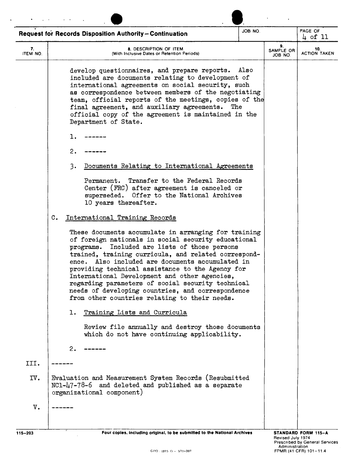|                | <b>Request for Records Disposition Authority-Continuation</b>                                                                                                                                                                                                                                                                                                                                                                                                                                                                               | JOB NO. |                            | PAGE OF<br>$\downarrow$ of 11 |
|----------------|---------------------------------------------------------------------------------------------------------------------------------------------------------------------------------------------------------------------------------------------------------------------------------------------------------------------------------------------------------------------------------------------------------------------------------------------------------------------------------------------------------------------------------------------|---------|----------------------------|-------------------------------|
| 7.<br>ITEM NO. | 8. DESCRIPTION OF ITEM<br>(With Inclusive Dates or Retention Periods)                                                                                                                                                                                                                                                                                                                                                                                                                                                                       |         | 9.<br>SAMPLE OR<br>JOB NO. | 10.<br><b>ACTION TAKEN</b>    |
|                | develop questionnaires, and prepare reports.<br>included are documents relating to development of<br>international agreements on social security, such<br>as correspondence between members of the negotiating<br>team, official reports of the meetings, copies of the<br>final agreement, and auxiliary agreements. The<br>official copy of the agreement is maintained in the<br>Department of State.                                                                                                                                    | Also    |                            |                               |
|                | ı.                                                                                                                                                                                                                                                                                                                                                                                                                                                                                                                                          |         |                            |                               |
|                | 2.                                                                                                                                                                                                                                                                                                                                                                                                                                                                                                                                          |         |                            |                               |
|                | 3.<br>Documents Relating to International Agreements                                                                                                                                                                                                                                                                                                                                                                                                                                                                                        |         |                            |                               |
|                | Transfer to the Federal Records<br>Permanent.<br>Center (FRC) after agreement is canceled or<br>superseded. Offer to the National Archives<br>10 years thereafter.                                                                                                                                                                                                                                                                                                                                                                          |         |                            |                               |
|                | International Training Records<br>C.                                                                                                                                                                                                                                                                                                                                                                                                                                                                                                        |         |                            |                               |
|                | These documents accumulate in arranging for training<br>of foreign nationals in social security educational<br>Included are lists of those persons<br>programs.<br>trained, training curricula, and related correspond-<br>ence. Also included are documents accumulated in<br>providing technical assistance to the Agency for<br>International Development and other agencies,<br>regarding parameters of social security technical<br>needs of developing countries, and correspondence<br>from other countries relating to their needs. |         |                            |                               |
|                | Training Lists and Curricula<br>ı.                                                                                                                                                                                                                                                                                                                                                                                                                                                                                                          |         |                            |                               |
|                | Review file annually and destroy those documents<br>which do not have continuing applicability.                                                                                                                                                                                                                                                                                                                                                                                                                                             |         |                            |                               |
|                | 2.                                                                                                                                                                                                                                                                                                                                                                                                                                                                                                                                          |         |                            |                               |
| III.           |                                                                                                                                                                                                                                                                                                                                                                                                                                                                                                                                             |         |                            |                               |
| IV.            | Evaluation and Measurement System Records (Resubmitted<br>NC1-47-78-6 and deleted and published as a separate<br>organizational component)                                                                                                                                                                                                                                                                                                                                                                                                  |         |                            |                               |
| V.             |                                                                                                                                                                                                                                                                                                                                                                                                                                                                                                                                             |         |                            |                               |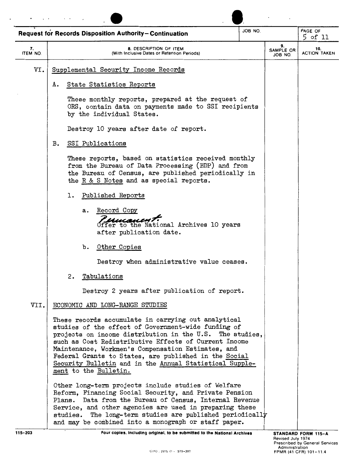|                       | <b>Request for Records Disposition Authority-Continuation</b>                                                                                                                                                                                                                                                                                                                                                                      | ON BOL |                            | PAGE OF<br>$5$ of 11       |
|-----------------------|------------------------------------------------------------------------------------------------------------------------------------------------------------------------------------------------------------------------------------------------------------------------------------------------------------------------------------------------------------------------------------------------------------------------------------|--------|----------------------------|----------------------------|
| 7.<br><b>ITEM NO.</b> | 8. DESCRIPTION OF ITEM<br>(With Inclusive Dates or Retention Periods)                                                                                                                                                                                                                                                                                                                                                              |        | 9.<br>SAMPLE OR<br>JOB NO. | 10.<br><b>ACTION TAKEN</b> |
| VI.                   | Supplemental Security Income Records                                                                                                                                                                                                                                                                                                                                                                                               |        |                            |                            |
|                       | State Statistics Reports<br>А.                                                                                                                                                                                                                                                                                                                                                                                                     |        |                            |                            |
|                       | These monthly reports, prepared at the request of<br>ORS, contain data on payments made to SSI recipients<br>by the individual States.                                                                                                                                                                                                                                                                                             |        |                            |                            |
|                       | Destroy 10 years after date of report.                                                                                                                                                                                                                                                                                                                                                                                             |        |                            |                            |
|                       | SSI Publications<br>$B$ .                                                                                                                                                                                                                                                                                                                                                                                                          |        |                            |                            |
|                       | These reports, based on statistics received monthly<br>from the Bureau of Data Processing (BDP) and from<br>the Bureau of Census, are published periodically in<br>the R & S Notes and as special reports.                                                                                                                                                                                                                         |        |                            |                            |
|                       | Published Reports<br>ı.                                                                                                                                                                                                                                                                                                                                                                                                            |        |                            |                            |
|                       | Record Copy<br>а.<br><u>U versi i</u><br>Offer to the National Archives 10 years<br>after publication date.                                                                                                                                                                                                                                                                                                                        |        |                            |                            |
|                       | Other Copies<br>b.                                                                                                                                                                                                                                                                                                                                                                                                                 |        |                            |                            |
|                       | Destroy when administrative value ceases.                                                                                                                                                                                                                                                                                                                                                                                          |        |                            |                            |
|                       | 2.<br>Tabulations                                                                                                                                                                                                                                                                                                                                                                                                                  |        |                            |                            |
|                       | Destroy 2 years after publication of report.                                                                                                                                                                                                                                                                                                                                                                                       |        |                            |                            |
| VII.                  | ECONOMIC AND LONG-RANGE STUDIES                                                                                                                                                                                                                                                                                                                                                                                                    |        |                            |                            |
|                       | These records accumulate in carrying out analytical<br>studies of the effect of Government-wide funding of<br>projects on income distribution in the U.S. The studies,<br>such as Cost Redistributive Effects of Current Income<br>Maintenance, Workmen's Compensation Estimates, and<br>Federal Grants to States, are published in the Social<br>Security Bulletin and in the Annual Statistical Supple-<br>ment to the Bulletin. |        |                            |                            |
|                       | Other long-term projects include studies of Welfare<br>Reform, Financing Social Security, and Private Pension<br>Data from the Bureau of Census, Internal Revenue<br>Plans.<br>Service, and other agencies are used in preparing these<br>The long-term studies are published periodically<br>studies.<br>and may be combined into a monograph or staff paper.                                                                     |        |                            |                            |
| $115 - 203$           | Four copies, including original, to be submitted to the National Archives                                                                                                                                                                                                                                                                                                                                                          |        |                            | STANDARD FORM 115-A        |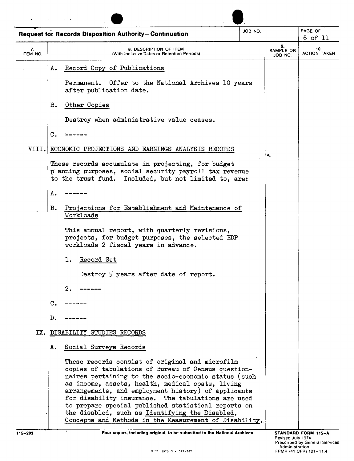|                | JOB NO.<br><b>Request for Records Disposition Authority-Continuation</b>                                                                                                                                                                                                                                                                                                                                                                                                                            |                                          | PAGE OF<br>$6$ of 11       |
|----------------|-----------------------------------------------------------------------------------------------------------------------------------------------------------------------------------------------------------------------------------------------------------------------------------------------------------------------------------------------------------------------------------------------------------------------------------------------------------------------------------------------------|------------------------------------------|----------------------------|
| 7.<br>ITEM NO. | 8. DESCRIPTION OF ITEM<br>(With Inclusive Dates or Retention Periods)                                                                                                                                                                                                                                                                                                                                                                                                                               | 9.<br>SAMPLE OR<br>JOB NO.               | 10.<br><b>ACTION TAKEN</b> |
|                | Record Copy of Publications<br>Α.                                                                                                                                                                                                                                                                                                                                                                                                                                                                   |                                          |                            |
|                | Permanent. Offer to the National Archives 10 years<br>after publication date.                                                                                                                                                                                                                                                                                                                                                                                                                       |                                          |                            |
|                | B.<br>Other Copies                                                                                                                                                                                                                                                                                                                                                                                                                                                                                  |                                          |                            |
|                | Destroy when administrative value ceases.                                                                                                                                                                                                                                                                                                                                                                                                                                                           |                                          |                            |
|                | C.                                                                                                                                                                                                                                                                                                                                                                                                                                                                                                  |                                          |                            |
| VIII.          | ECONOMIC PROJECTIONS AND EARNINGS ANALYSIS RECORDS                                                                                                                                                                                                                                                                                                                                                                                                                                                  | $\bullet_{\scriptscriptstyle\mathsf{L}}$ |                            |
|                | These records accumulate in projecting, for budget<br>planning purposes, social security payroll tax revenue<br>to the trust fund. Included, but not limited to, are:                                                                                                                                                                                                                                                                                                                               |                                          |                            |
|                | Α.                                                                                                                                                                                                                                                                                                                                                                                                                                                                                                  |                                          |                            |
|                | Projections for Establishment and Maintenance of<br>в.<br>Workloads                                                                                                                                                                                                                                                                                                                                                                                                                                 |                                          |                            |
|                | This annual report, with quarterly revisions,<br>projects, for budget purposes, the selected BDP<br>workloads 2 fiscal years in advance.                                                                                                                                                                                                                                                                                                                                                            |                                          |                            |
|                | Record Set<br>ı.                                                                                                                                                                                                                                                                                                                                                                                                                                                                                    |                                          |                            |
|                | Destroy 5 years after date of report.                                                                                                                                                                                                                                                                                                                                                                                                                                                               |                                          |                            |
|                | 2.                                                                                                                                                                                                                                                                                                                                                                                                                                                                                                  |                                          |                            |
|                | $\mathbf{C}$ .                                                                                                                                                                                                                                                                                                                                                                                                                                                                                      |                                          |                            |
|                | D.                                                                                                                                                                                                                                                                                                                                                                                                                                                                                                  |                                          |                            |
| IX.I           | DISABILITY STUDIES RECORDS                                                                                                                                                                                                                                                                                                                                                                                                                                                                          |                                          |                            |
|                | Social Surveys Records<br>Α.                                                                                                                                                                                                                                                                                                                                                                                                                                                                        |                                          |                            |
|                | These records consist of original and microfilm<br>copies of tabulations of Bureau of Census question-<br>naires pertaining to the socio-economic status (such<br>as income, assets, health, medical costs, living<br>arrangements, and employment history) of applicants<br>for disability insurance. The tabulations are used<br>to prepare special published statistical reports on<br>the disabled, such as Identifying the Disabled,<br>Concepts and Methods in the Measurement of Disability, |                                          |                            |

\_\_\_\_.,....\_\_\_\_\_\_\_\_..----------------------~-----'------ **Four copies, Including original, to be submitted to the National Archives STANDARD FORM 115-A**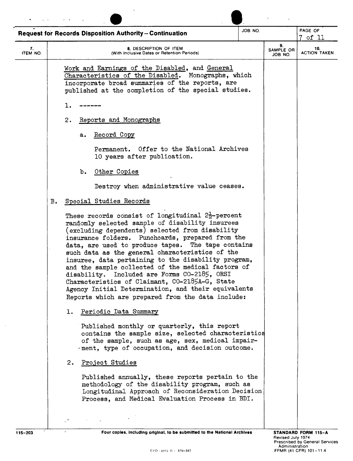|                | JOB NO.<br><b>Request for Records Disposition Authority-Continuation</b>                                                                                                                                                                                                                                                                                                                                                                                                                                                                                                                                                                                    |                            | PAGE OF<br>of 11           |
|----------------|-------------------------------------------------------------------------------------------------------------------------------------------------------------------------------------------------------------------------------------------------------------------------------------------------------------------------------------------------------------------------------------------------------------------------------------------------------------------------------------------------------------------------------------------------------------------------------------------------------------------------------------------------------------|----------------------------|----------------------------|
| 7.<br>ITEM NO. | 8. DESCRIPTION OF ITEM<br>(With Inclusive Dates or Retention Periods)                                                                                                                                                                                                                                                                                                                                                                                                                                                                                                                                                                                       | 9.<br>SAMPLE OR<br>JOB NO. | 10.<br><b>ACTION TAKEN</b> |
|                | Work and Earnings of the Disabled, and General<br>Characteristics of the Disabled. Monographs, which<br>incorporate broad summaries of the reports, are<br>published at the completion of the special studies.                                                                                                                                                                                                                                                                                                                                                                                                                                              |                            |                            |
|                | ı.                                                                                                                                                                                                                                                                                                                                                                                                                                                                                                                                                                                                                                                          |                            |                            |
|                | Reports and Monographs<br>2.                                                                                                                                                                                                                                                                                                                                                                                                                                                                                                                                                                                                                                |                            |                            |
|                | Record Copy<br>а.                                                                                                                                                                                                                                                                                                                                                                                                                                                                                                                                                                                                                                           |                            |                            |
|                | Permanent. Offer to the National Archives<br>10 years after publication.                                                                                                                                                                                                                                                                                                                                                                                                                                                                                                                                                                                    |                            |                            |
|                | Other Copies<br>b.                                                                                                                                                                                                                                                                                                                                                                                                                                                                                                                                                                                                                                          |                            |                            |
|                | Destroy when administrative value ceases.                                                                                                                                                                                                                                                                                                                                                                                                                                                                                                                                                                                                                   |                            |                            |
| в.             | Special Studies Records                                                                                                                                                                                                                                                                                                                                                                                                                                                                                                                                                                                                                                     |                            |                            |
|                | These records consist of longitudinal $2\frac{1}{2}$ -percent<br>randomly selected sample of disability insurees<br>(excluding dependents) selected from disability<br>insurance folders. Punchcards, prepared from the<br>data, are used to produce tapes. The tape contains<br>such data as the general characteristics of the<br>insuree, data pertaining to the disability program,<br>and the sample collected of the medical factors of<br>disability. Included are Forms CO-2185, ORSI<br>Characteristics of Claimant, CO-2185A-G, State<br>Agency Initial Determination, and their equivalents<br>Reports which are prepared from the data include: |                            |                            |
|                | Periodic Data Summary<br>ı.                                                                                                                                                                                                                                                                                                                                                                                                                                                                                                                                                                                                                                 |                            |                            |
|                | Published monthly or quarterly, this report<br>contains the sample size, selected characteristics<br>of the sample, such as age, sex, medical impair-<br>. ment, type of occupation, and decision outcome.                                                                                                                                                                                                                                                                                                                                                                                                                                                  |                            |                            |
|                | Project Studies<br>2.                                                                                                                                                                                                                                                                                                                                                                                                                                                                                                                                                                                                                                       |                            |                            |
|                | Published annually, these reports pertain to the<br>methodology of the disability program, such as<br>Longitudinal Approach of Reconsideration Decision                                                                                                                                                                                                                                                                                                                                                                                                                                                                                                     |                            |                            |
|                | Process, and Medical Evaluation Process in BDI.                                                                                                                                                                                                                                                                                                                                                                                                                                                                                                                                                                                                             |                            |                            |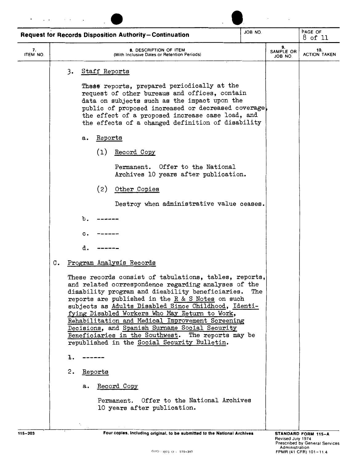|                | <b>Request for Records Disposition Authority-Continuation</b>                                                                                                                                                                                                                                                                                                                                                                                                                                                                                | JOB NO.                    |                            | PAGE OF<br>8 of 11 |
|----------------|----------------------------------------------------------------------------------------------------------------------------------------------------------------------------------------------------------------------------------------------------------------------------------------------------------------------------------------------------------------------------------------------------------------------------------------------------------------------------------------------------------------------------------------------|----------------------------|----------------------------|--------------------|
| 7.<br>ITEM NO. | 8. DESCRIPTION OF ITEM<br><b>With Inclusive Dates or Retention Periods)</b>                                                                                                                                                                                                                                                                                                                                                                                                                                                                  | 9.<br>SAMPLE OR<br>JOB NO. | 10.<br><b>ACTION TAKEN</b> |                    |
|                | Staff Reports<br>3.                                                                                                                                                                                                                                                                                                                                                                                                                                                                                                                          |                            |                            |                    |
|                | These reports, prepared periodically at the<br>request of other bureaus and offices, contain<br>data on subjects such as the impact upon the<br>public of proposed increased or decreased coverage,<br>the effect of a proposed increase case load, and<br>the effects of a changed definition of disability                                                                                                                                                                                                                                 |                            |                            |                    |
|                | Reports<br>a.                                                                                                                                                                                                                                                                                                                                                                                                                                                                                                                                |                            |                            |                    |
|                | (1)<br>Record Copy                                                                                                                                                                                                                                                                                                                                                                                                                                                                                                                           |                            |                            |                    |
|                | Permanent. Offer to the National<br>Archives 10 years after publication.                                                                                                                                                                                                                                                                                                                                                                                                                                                                     |                            |                            |                    |
|                | (2)<br>Other Copies                                                                                                                                                                                                                                                                                                                                                                                                                                                                                                                          |                            |                            |                    |
|                | Destroy when administrative value ceases.                                                                                                                                                                                                                                                                                                                                                                                                                                                                                                    |                            |                            |                    |
|                | b.                                                                                                                                                                                                                                                                                                                                                                                                                                                                                                                                           |                            |                            |                    |
|                | $\mathbf{c}$ .                                                                                                                                                                                                                                                                                                                                                                                                                                                                                                                               |                            |                            |                    |
|                | d.                                                                                                                                                                                                                                                                                                                                                                                                                                                                                                                                           |                            |                            |                    |
|                | Program Analysis Records<br>c.                                                                                                                                                                                                                                                                                                                                                                                                                                                                                                               |                            |                            |                    |
|                | These records consist of tabulations, tables, reports,<br>and related correspondence regarding analyses of the<br>disability program and disability beneficiaries.<br>reports are published in the R & S Notes on such<br>subjects as Adults Disabled Since Childhood, Identi-<br>fying Disabled Workers Who May Return to Work,<br>Rehabilitation and Medical Improvement Screening<br>Decisions, and Spanish Surname Social Security<br>Beneficiaries in the Southwest. The reports may be<br>republished in the Social Security Bulletin. | The                        |                            |                    |
|                | ı.                                                                                                                                                                                                                                                                                                                                                                                                                                                                                                                                           |                            |                            |                    |
|                | 2.<br>Reports                                                                                                                                                                                                                                                                                                                                                                                                                                                                                                                                |                            |                            |                    |
|                | Record Copy<br>а.                                                                                                                                                                                                                                                                                                                                                                                                                                                                                                                            |                            |                            |                    |
|                | Permanent. Offer to the National Archives<br>10 years after publication.                                                                                                                                                                                                                                                                                                                                                                                                                                                                     |                            |                            |                    |
|                |                                                                                                                                                                                                                                                                                                                                                                                                                                                                                                                                              |                            |                            |                    |

**115-203** Four copies, including original, to be submitted to the National Archives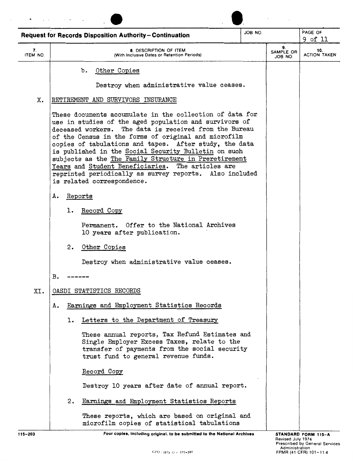|                |    | <b>Request for Records Disposition Authority-Continuation</b>                                                                                                                                                                                                                                                                                                                                                                                                                                                                                                 | JOB NO. |                                   | PAGE OF<br>9 of 11         |
|----------------|----|---------------------------------------------------------------------------------------------------------------------------------------------------------------------------------------------------------------------------------------------------------------------------------------------------------------------------------------------------------------------------------------------------------------------------------------------------------------------------------------------------------------------------------------------------------------|---------|-----------------------------------|----------------------------|
| 7.<br>ITEM NO. |    | 8. DESCRIPTION OF ITEM<br>(With Inclusive Dates or Retention Periods)                                                                                                                                                                                                                                                                                                                                                                                                                                                                                         |         | 9.<br><b>SAMPLE OR</b><br>JOB NO. | 10.<br><b>ACTION TAKEN</b> |
|                |    | Other Copies<br>b.                                                                                                                                                                                                                                                                                                                                                                                                                                                                                                                                            |         |                                   |                            |
|                |    | Destroy when administrative value ceases.                                                                                                                                                                                                                                                                                                                                                                                                                                                                                                                     |         |                                   |                            |
| X.             |    | RETIREMENT AND SURVIVORS INSURANCE                                                                                                                                                                                                                                                                                                                                                                                                                                                                                                                            |         |                                   |                            |
|                |    | These documents accumulate in the collection of data for<br>use in studies of the aged population and survivors of<br>deceased workers. The data is received from the Bureau<br>of the Census in the forms of original and microfilm<br>copies of tabulations and tapes. After study, the data<br>is published in the Social Security Bulletin on such<br>subjects as the The Family Structure in Preretirement<br>Years and Student Beneficiaries. The articles are<br>reprinted periodically as survey reports. Also included<br>is related correspondence. |         |                                   |                            |
|                | А. | Reports                                                                                                                                                                                                                                                                                                                                                                                                                                                                                                                                                       |         |                                   |                            |
|                | ı. | Record Copy                                                                                                                                                                                                                                                                                                                                                                                                                                                                                                                                                   |         |                                   |                            |
|                |    | Permanent. Offer to the National Archives<br>10 years after publication.                                                                                                                                                                                                                                                                                                                                                                                                                                                                                      |         |                                   |                            |
|                | 2. | Other Copies                                                                                                                                                                                                                                                                                                                                                                                                                                                                                                                                                  |         |                                   |                            |
|                |    | Destroy when administrative value ceases.                                                                                                                                                                                                                                                                                                                                                                                                                                                                                                                     |         |                                   |                            |
|                | в. |                                                                                                                                                                                                                                                                                                                                                                                                                                                                                                                                                               |         |                                   |                            |
| XI.            |    | OASDI STATISTICS RECORDS                                                                                                                                                                                                                                                                                                                                                                                                                                                                                                                                      |         |                                   |                            |
|                | Α. | Earnings and Employment Statistics Records                                                                                                                                                                                                                                                                                                                                                                                                                                                                                                                    |         |                                   |                            |
|                | ı. | Letters to the Department of Treasury                                                                                                                                                                                                                                                                                                                                                                                                                                                                                                                         |         |                                   |                            |
|                |    | These annual reports, Tax Refund Estimates and<br>Single Employer Excess Taxes, relate to the<br>transfer of payments from the social security<br>trust fund to general revenue funds.                                                                                                                                                                                                                                                                                                                                                                        |         |                                   |                            |
|                |    | Record Copy                                                                                                                                                                                                                                                                                                                                                                                                                                                                                                                                                   |         |                                   |                            |
|                |    | Destroy 10 years after date of annual report.                                                                                                                                                                                                                                                                                                                                                                                                                                                                                                                 |         |                                   |                            |
|                | 2. | Earnings and Employment Statistics Reports                                                                                                                                                                                                                                                                                                                                                                                                                                                                                                                    |         |                                   |                            |
|                |    | These reports, which are based on original and<br>microfilm copies of statistical tabulations                                                                                                                                                                                                                                                                                                                                                                                                                                                                 |         |                                   |                            |

115-203 Four copies, including original, to be submitted to the National Archives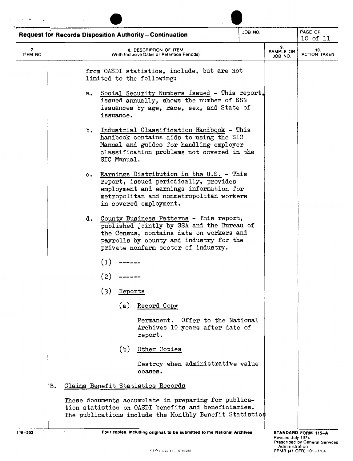|                |                |             | Request for Records Disposition Authority-Continuation                                                                                                                                                              | JOB NO. |                            | PAGE OF<br>10 of 11        |
|----------------|----------------|-------------|---------------------------------------------------------------------------------------------------------------------------------------------------------------------------------------------------------------------|---------|----------------------------|----------------------------|
| 7.<br>ITEM NO. |                |             | <b>8. DESCRIPTION OF ITEM</b><br>With Inclusive Dates or Retention Periods)                                                                                                                                         |         | 9.<br>SAMPLE OR<br>JOB NO. | 10.<br><b>ACTION TAKEN</b> |
|                |                |             | from OASDI statistics, include, but are not<br>limited to the following:                                                                                                                                            |         |                            |                            |
|                | а.             | issuance.   | Social Security Numbers Issued - This report,<br>issued annually, shows the number of SSN<br>issuances by age, race, sex, and State of                                                                              |         |                            |                            |
|                | b.             | SIC Manual. | Industrial Classification Handbook - This<br>handbook contains aids to using the SIC<br>Manual and guides for handling employer<br>classification problems not covered in the                                       |         |                            |                            |
|                | $\mathbf{c}$ . |             | Earnings Distribution in the U.S. - This<br>report, issued periodically, provides<br>employment and earnings information for<br>metropolitan and nonmetropolitan workers<br>in covered employment.                  |         |                            |                            |
|                | d.             |             | County Business Patterns - This report,<br>published jointly by SSA and the Bureau of<br>the Census, contains data on workers and<br>payrolls by county and industry for the<br>private nonfarm sector of industry. |         |                            |                            |
|                | (1)            |             |                                                                                                                                                                                                                     |         |                            |                            |
|                | (2)            |             |                                                                                                                                                                                                                     |         |                            |                            |
|                | (3)            | Reports     |                                                                                                                                                                                                                     |         |                            |                            |
|                |                |             | (a) Record Copy                                                                                                                                                                                                     |         |                            |                            |
|                |                |             | Permanent. Offer to the National<br>Archives 10 years after date of<br>report.                                                                                                                                      |         |                            |                            |
|                |                | (b)         | Other Copies                                                                                                                                                                                                        |         |                            |                            |
|                |                |             | Destroy when administrative value<br>ceases.                                                                                                                                                                        |         |                            |                            |
| в.             |                |             | Claims Benefit Statistics Records                                                                                                                                                                                   |         |                            |                            |
|                |                |             | These documents accumulate in preparing for publica-<br>tion statistics on OASDI benefits and beneficiaries.<br>The publications include the Monthly Benefit Statistics                                             |         |                            |                            |